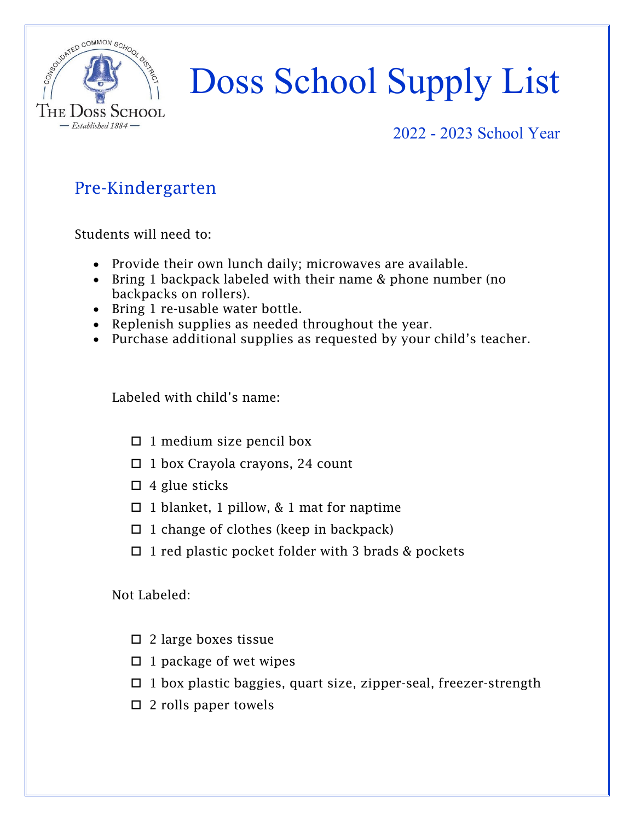

#### 2022 - 2023 School Year

### Pre-Kindergarten

Students will need to:

- Provide their own lunch daily; microwaves are available.
- Bring 1 backpack labeled with their name & phone number (no backpacks on rollers).
- Bring 1 re-usable water bottle.
- Replenish supplies as needed throughout the year.
- Purchase additional supplies as requested by your child's teacher.

Labeled with child's name:

- $\Box$  1 medium size pencil box
- $\Box$  1 box Crayola crayons, 24 count
- $\Box$  4 glue sticks
- $\Box$  1 blanket, 1 pillow, & 1 mat for naptime
- $\Box$  1 change of clothes (keep in backpack)
- $\Box$  1 red plastic pocket folder with 3 brads & pockets

- $\square$  2 large boxes tissue
- $\Box$  1 package of wet wipes
- $\Box$  1 box plastic baggies, quart size, zipper-seal, freezer-strength
- $\square$  2 rolls paper towels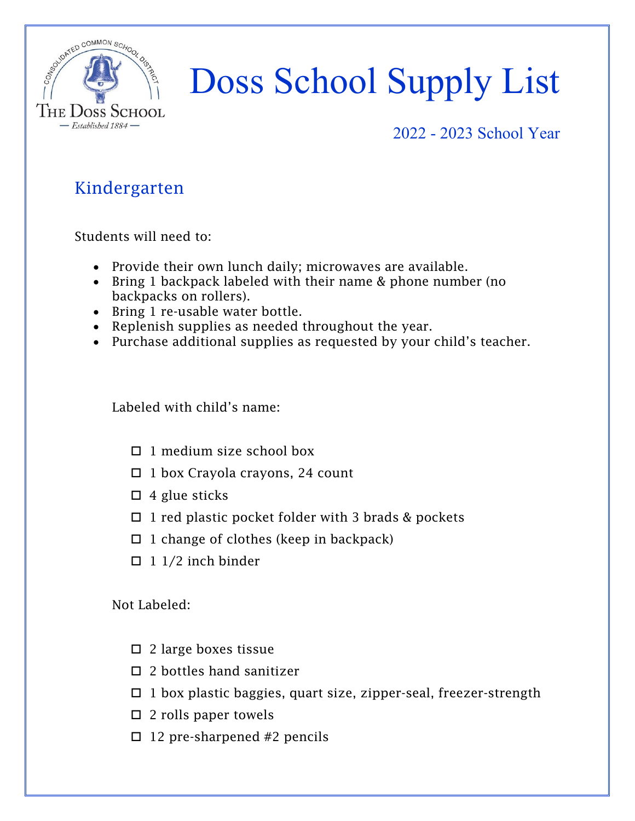

#### 2022 - 2023 School Year

## Kindergarten

Students will need to:

- Provide their own lunch daily; microwaves are available.
- Bring 1 backpack labeled with their name & phone number (no backpacks on rollers).
- Bring 1 re-usable water bottle.
- Replenish supplies as needed throughout the year.
- Purchase additional supplies as requested by your child's teacher.

Labeled with child's name:

- $\Box$  1 medium size school box
- $\Box$  1 box Crayola crayons, 24 count
- $\Box$  4 glue sticks
- $\Box$  1 red plastic pocket folder with 3 brads & pockets
- $\Box$  1 change of clothes (keep in backpack)
- $\Box$  1 1/2 inch binder

- 2 large boxes tissue
- $\square$  2 bottles hand sanitizer
- $\Box$  1 box plastic baggies, quart size, zipper-seal, freezer-strength
- $\square$  2 rolls paper towels
- $\Box$  12 pre-sharpened #2 pencils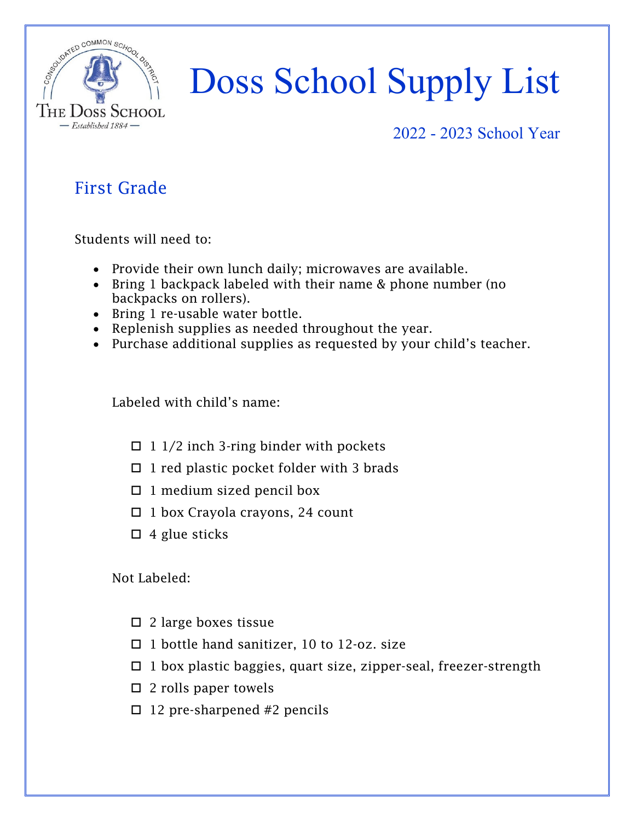

#### 2022 - 2023 School Year

## First Grade

Students will need to:

- Provide their own lunch daily; microwaves are available.
- Bring 1 backpack labeled with their name & phone number (no backpacks on rollers).
- Bring 1 re-usable water bottle.
- Replenish supplies as needed throughout the year.
- Purchase additional supplies as requested by your child's teacher.

Labeled with child's name:

- $\Box$  1 1/2 inch 3-ring binder with pockets
- $\Box$  1 red plastic pocket folder with 3 brads
- $\Box$  1 medium sized pencil box
- $\Box$  1 box Crayola crayons, 24 count
- $\Box$  4 glue sticks

- $\square$  2 large boxes tissue
- □ 1 bottle hand sanitizer, 10 to 12-oz. size
- $\Box$  1 box plastic baggies, quart size, zipper-seal, freezer-strength
- $\square$  2 rolls paper towels
- $\Box$  12 pre-sharpened #2 pencils